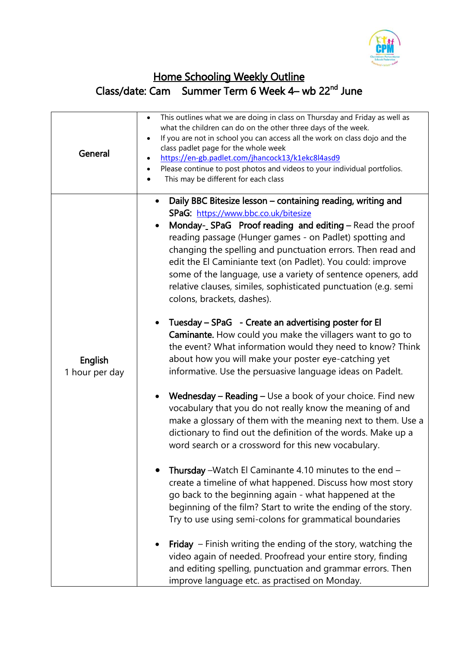

## Home Schooling Weekly Outline Class/date: Cam Summer Term 6 Week 4– wb 22<sup>nd</sup> June

| General                          | This outlines what we are doing in class on Thursday and Friday as well as<br>$\bullet$<br>what the children can do on the other three days of the week.<br>If you are not in school you can access all the work on class dojo and the<br>class padlet page for the whole week<br>https://en-gb.padlet.com/jhancock13/k1ekc8l4asd9<br>Please continue to post photos and videos to your individual portfolios.<br>٠<br>This may be different for each class                                                              |
|----------------------------------|--------------------------------------------------------------------------------------------------------------------------------------------------------------------------------------------------------------------------------------------------------------------------------------------------------------------------------------------------------------------------------------------------------------------------------------------------------------------------------------------------------------------------|
| <b>English</b><br>1 hour per day | Daily BBC Bitesize lesson - containing reading, writing and<br>SPaG: https://www.bbc.co.uk/bitesize<br>Monday- SPaG Proof reading and editing – Read the proof<br>reading passage (Hunger games - on Padlet) spotting and<br>changing the spelling and punctuation errors. Then read and<br>edit the El Caminiante text (on Padlet). You could: improve<br>some of the language, use a variety of sentence openers, add<br>relative clauses, similes, sophisticated punctuation (e.g. semi<br>colons, brackets, dashes). |
|                                  | Tuesday – SPaG - Create an advertising poster for El<br>Caminante. How could you make the villagers want to go to<br>the event? What information would they need to know? Think<br>about how you will make your poster eye-catching yet<br>informative. Use the persuasive language ideas on Padelt.                                                                                                                                                                                                                     |
|                                  | Wednesday – Reading – Use a book of your choice. Find new<br>vocabulary that you do not really know the meaning of and<br>make a glossary of them with the meaning next to them. Use a<br>dictionary to find out the definition of the words. Make up a<br>word search or a crossword for this new vocabulary.                                                                                                                                                                                                           |
|                                  | Thursday - Watch El Caminante 4.10 minutes to the end -<br>create a timeline of what happened. Discuss how most story<br>go back to the beginning again - what happened at the<br>beginning of the film? Start to write the ending of the story.<br>Try to use using semi-colons for grammatical boundaries                                                                                                                                                                                                              |
|                                  | <b>Friday</b> – Finish writing the ending of the story, watching the<br>video again of needed. Proofread your entire story, finding<br>and editing spelling, punctuation and grammar errors. Then<br>improve language etc. as practised on Monday.                                                                                                                                                                                                                                                                       |